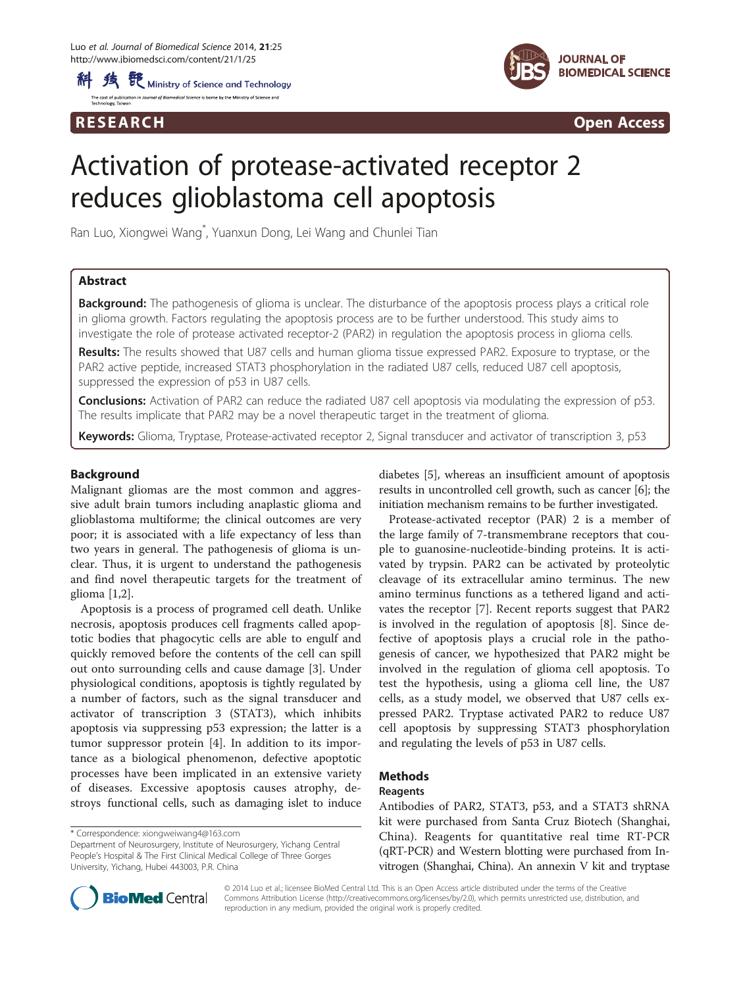



R E S EAR CH Open Access

# Activation of protease-activated receptor 2 reduces glioblastoma cell apoptosis

Ran Luo, Xiongwei Wang\* , Yuanxun Dong, Lei Wang and Chunlei Tian

# Abstract

**Background:** The pathogenesis of glioma is unclear. The disturbance of the apoptosis process plays a critical role in glioma growth. Factors regulating the apoptosis process are to be further understood. This study aims to investigate the role of protease activated receptor-2 (PAR2) in regulation the apoptosis process in glioma cells.

Results: The results showed that U87 cells and human glioma tissue expressed PAR2. Exposure to tryptase, or the PAR2 active peptide, increased STAT3 phosphorylation in the radiated U87 cells, reduced U87 cell apoptosis, suppressed the expression of p53 in U87 cells.

Conclusions: Activation of PAR2 can reduce the radiated U87 cell apoptosis via modulating the expression of p53. The results implicate that PAR2 may be a novel therapeutic target in the treatment of glioma.

Keywords: Glioma, Tryptase, Protease-activated receptor 2, Signal transducer and activator of transcription 3, p53

# Background

Malignant gliomas are the most common and aggressive adult brain tumors including anaplastic glioma and glioblastoma multiforme; the clinical outcomes are very poor; it is associated with a life expectancy of less than two years in general. The pathogenesis of glioma is unclear. Thus, it is urgent to understand the pathogenesis and find novel therapeutic targets for the treatment of glioma [\[1,2](#page-4-0)].

Apoptosis is a process of programed cell death. Unlike necrosis, apoptosis produces cell fragments called apoptotic bodies that phagocytic cells are able to engulf and quickly removed before the contents of the cell can spill out onto surrounding cells and cause damage [\[3](#page-4-0)]. Under physiological conditions, apoptosis is tightly regulated by a number of factors, such as the signal transducer and activator of transcription 3 (STAT3), which inhibits apoptosis via suppressing p53 expression; the latter is a tumor suppressor protein [\[4](#page-4-0)]. In addition to its importance as a biological phenomenon, defective apoptotic processes have been implicated in an extensive variety of diseases. Excessive apoptosis causes atrophy, destroys functional cells, such as damaging islet to induce

\* Correspondence: [xiongweiwang4@163.com](mailto:xiongweiwang4@163.com)

Department of Neurosurgery, Institute of Neurosurgery, Yichang Central People's Hospital & The First Clinical Medical College of Three Gorges University, Yichang, Hubei 443003, P.R. China

diabetes [[5\]](#page-4-0), whereas an insufficient amount of apoptosis results in uncontrolled cell growth, such as cancer [\[6\]](#page-4-0); the initiation mechanism remains to be further investigated.

Protease-activated receptor (PAR) 2 is a member of the large family of 7-transmembrane receptors that couple to guanosine-nucleotide-binding proteins. It is activated by trypsin. PAR2 can be activated by proteolytic cleavage of its extracellular amino terminus. The new amino terminus functions as a tethered ligand and activates the receptor [\[7](#page-4-0)]. Recent reports suggest that PAR2 is involved in the regulation of apoptosis [\[8](#page-4-0)]. Since defective of apoptosis plays a crucial role in the pathogenesis of cancer, we hypothesized that PAR2 might be involved in the regulation of glioma cell apoptosis. To test the hypothesis, using a glioma cell line, the U87 cells, as a study model, we observed that U87 cells expressed PAR2. Tryptase activated PAR2 to reduce U87 cell apoptosis by suppressing STAT3 phosphorylation and regulating the levels of p53 in U87 cells.

# Methods

#### Reagents

Antibodies of PAR2, STAT3, p53, and a STAT3 shRNA kit were purchased from Santa Cruz Biotech (Shanghai, China). Reagents for quantitative real time RT-PCR (qRT-PCR) and Western blotting were purchased from Invitrogen (Shanghai, China). An annexin V kit and tryptase



© 2014 Luo et al.; licensee BioMed Central Ltd. This is an Open Access article distributed under the terms of the Creative Commons Attribution License [\(http://creativecommons.org/licenses/by/2.0\)](http://creativecommons.org/licenses/by/2.0), which permits unrestricted use, distribution, and reproduction in any medium, provided the original work is properly credited.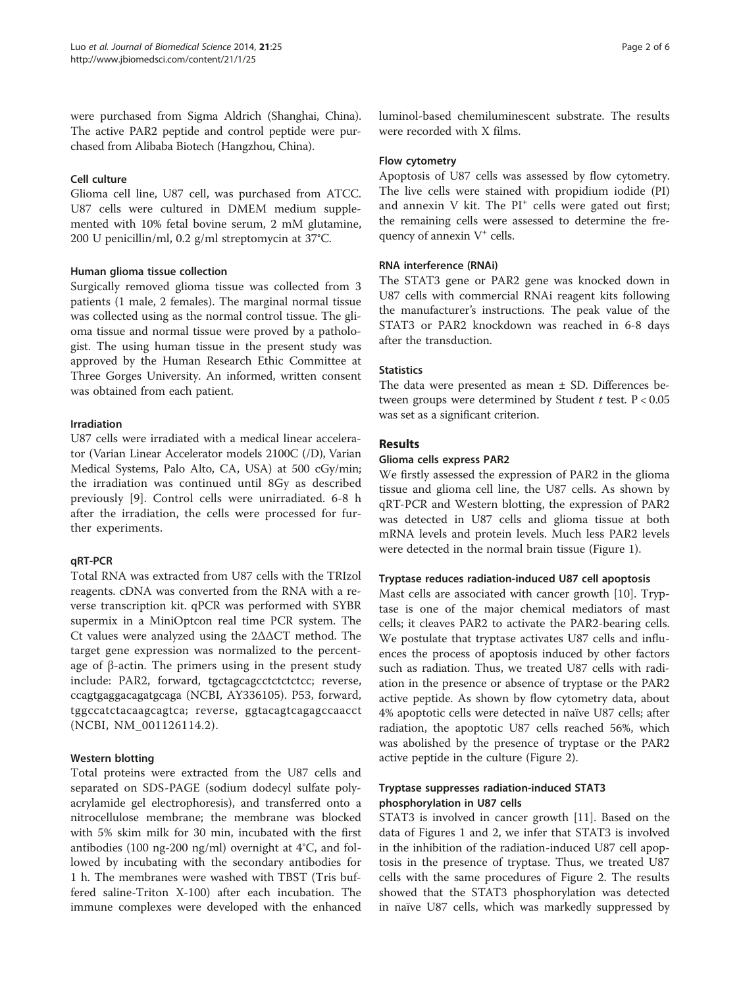were purchased from Sigma Aldrich (Shanghai, China). The active PAR2 peptide and control peptide were purchased from Alibaba Biotech (Hangzhou, China).

# Cell culture

Glioma cell line, U87 cell, was purchased from ATCC. U87 cells were cultured in DMEM medium supplemented with 10% fetal bovine serum, 2 mM glutamine, 200 U penicillin/ml, 0.2 g/ml streptomycin at 37°C.

# Human glioma tissue collection

Surgically removed glioma tissue was collected from 3 patients (1 male, 2 females). The marginal normal tissue was collected using as the normal control tissue. The glioma tissue and normal tissue were proved by a pathologist. The using human tissue in the present study was approved by the Human Research Ethic Committee at Three Gorges University. An informed, written consent was obtained from each patient.

# Irradiation

U87 cells were irradiated with a medical linear accelerator (Varian Linear Accelerator models 2100C (/D), Varian Medical Systems, Palo Alto, CA, USA) at 500 cGy/min; the irradiation was continued until 8Gy as described previously [\[9](#page-4-0)]. Control cells were unirradiated. 6-8 h after the irradiation, the cells were processed for further experiments.

# qRT-PCR

Total RNA was extracted from U87 cells with the TRIzol reagents. cDNA was converted from the RNA with a reverse transcription kit. qPCR was performed with SYBR supermix in a MiniOptcon real time PCR system. The Ct values were analyzed using the 2ΔΔCT method. The target gene expression was normalized to the percentage of β-actin. The primers using in the present study include: PAR2, forward, tgctagcagcctctctctcc; reverse, ccagtgaggacagatgcaga (NCBI, AY336105). P53, forward, tggccatctacaagcagtca; reverse, ggtacagtcagagccaacct (NCBI, NM\_001126114.2).

# Western blotting

Total proteins were extracted from the U87 cells and separated on SDS-PAGE (sodium dodecyl sulfate polyacrylamide gel electrophoresis), and transferred onto a nitrocellulose membrane; the membrane was blocked with 5% skim milk for 30 min, incubated with the first antibodies (100 ng-200 ng/ml) overnight at 4°C, and followed by incubating with the secondary antibodies for 1 h. The membranes were washed with TBST (Tris buffered saline-Triton X-100) after each incubation. The immune complexes were developed with the enhanced luminol-based chemiluminescent substrate. The results were recorded with X films.

### Flow cytometry

Apoptosis of U87 cells was assessed by flow cytometry. The live cells were stained with propidium iodide (PI) and annexin V kit. The  $PI^+$  cells were gated out first; the remaining cells were assessed to determine the frequency of annexin  $V^+$  cells.

# RNA interference (RNAi)

The STAT3 gene or PAR2 gene was knocked down in U87 cells with commercial RNAi reagent kits following the manufacturer's instructions. The peak value of the STAT3 or PAR2 knockdown was reached in 6-8 days after the transduction.

# **Statistics**

The data were presented as mean ± SD. Differences between groups were determined by Student  $t$  test.  $P < 0.05$ was set as a significant criterion.

# Results

#### Glioma cells express PAR2

We firstly assessed the expression of PAR2 in the glioma tissue and glioma cell line, the U87 cells. As shown by qRT-PCR and Western blotting, the expression of PAR2 was detected in U87 cells and glioma tissue at both mRNA levels and protein levels. Much less PAR2 levels were detected in the normal brain tissue (Figure [1](#page-2-0)).

## Tryptase reduces radiation-induced U87 cell apoptosis

Mast cells are associated with cancer growth [[10](#page-4-0)]. Tryptase is one of the major chemical mediators of mast cells; it cleaves PAR2 to activate the PAR2-bearing cells. We postulate that tryptase activates U87 cells and influences the process of apoptosis induced by other factors such as radiation. Thus, we treated U87 cells with radiation in the presence or absence of tryptase or the PAR2 active peptide. As shown by flow cytometry data, about 4% apoptotic cells were detected in naïve U87 cells; after radiation, the apoptotic U87 cells reached 56%, which was abolished by the presence of tryptase or the PAR2 active peptide in the culture (Figure [2\)](#page-2-0).

# Tryptase suppresses radiation-induced STAT3 phosphorylation in U87 cells

STAT3 is involved in cancer growth [\[11](#page-4-0)]. Based on the data of Figures [1](#page-2-0) and [2,](#page-2-0) we infer that STAT3 is involved in the inhibition of the radiation-induced U87 cell apoptosis in the presence of tryptase. Thus, we treated U87 cells with the same procedures of Figure [2.](#page-2-0) The results showed that the STAT3 phosphorylation was detected in naïve U87 cells, which was markedly suppressed by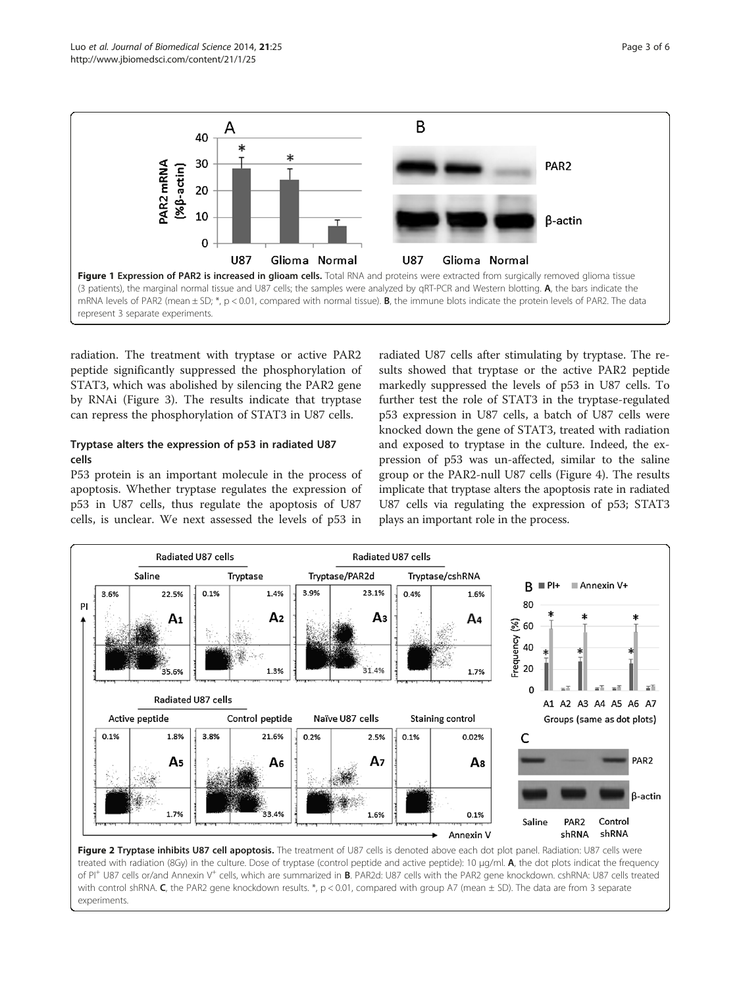<span id="page-2-0"></span>

radiation. The treatment with tryptase or active PAR2 peptide significantly suppressed the phosphorylation of STAT3, which was abolished by silencing the PAR2 gene by RNAi (Figure [3\)](#page-3-0). The results indicate that tryptase can repress the phosphorylation of STAT3 in U87 cells.

# Tryptase alters the expression of p53 in radiated U87 cells

P53 protein is an important molecule in the process of apoptosis. Whether tryptase regulates the expression of p53 in U87 cells, thus regulate the apoptosis of U87 cells, is unclear. We next assessed the levels of p53 in

radiated U87 cells after stimulating by tryptase. The results showed that tryptase or the active PAR2 peptide markedly suppressed the levels of p53 in U87 cells. To further test the role of STAT3 in the tryptase-regulated p53 expression in U87 cells, a batch of U87 cells were knocked down the gene of STAT3, treated with radiation and exposed to tryptase in the culture. Indeed, the expression of p53 was un-affected, similar to the saline group or the PAR2-null U87 cells (Figure [4\)](#page-3-0). The results implicate that tryptase alters the apoptosis rate in radiated U87 cells via regulating the expression of p53; STAT3 plays an important role in the process.



Figure 2 Tryptase inhibits U87 cell apoptosis. The treatment of U87 cells is denoted above each dot plot panel. Radiation: U87 cells were treated with radiation (8Gy) in the culture. Dose of tryptase (control peptide and active peptide): 10 μg/ml. A, the dot plots indicat the frequency of PI<sup>+</sup> U87 cells or/and Annexin V<sup>+</sup> cells, which are summarized in **B**. PAR2d: U87 cells with the PAR2 gene knockdown. cshRNA: U87 cells treated with control shRNA. C, the PAR2 gene knockdown results. \*,  $p < 0.01$ , compared with group A7 (mean  $\pm$  SD). The data are from 3 separate experiments.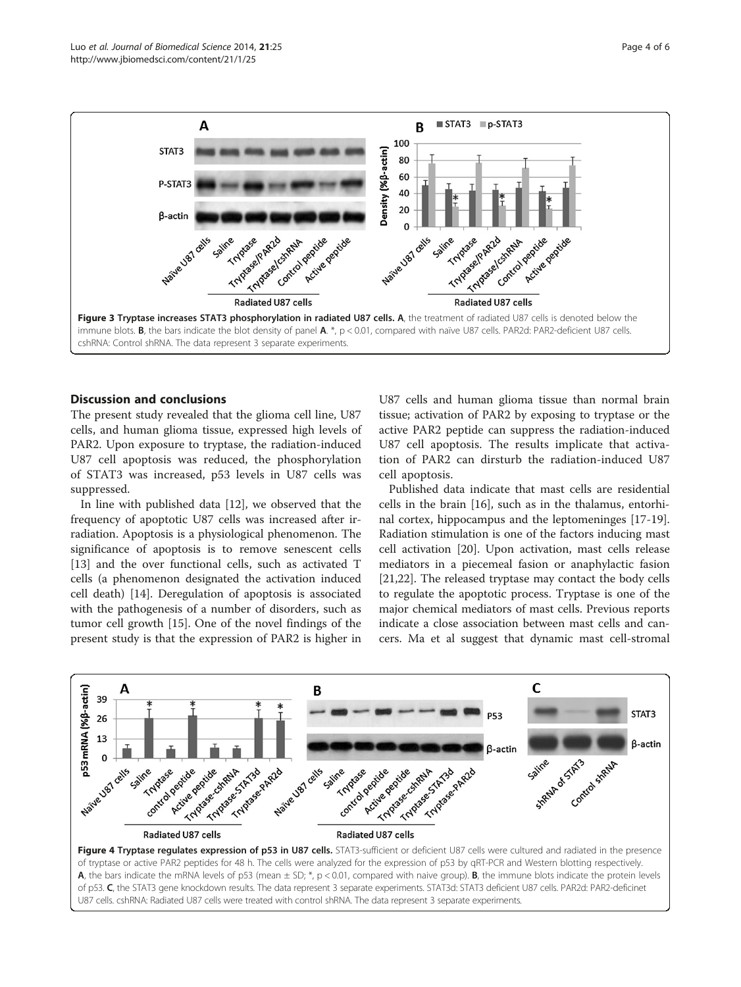<span id="page-3-0"></span>

# Discussion and conclusions

The present study revealed that the glioma cell line, U87 cells, and human glioma tissue, expressed high levels of PAR2. Upon exposure to tryptase, the radiation-induced U87 cell apoptosis was reduced, the phosphorylation of STAT3 was increased, p53 levels in U87 cells was suppressed.

In line with published data [\[12\]](#page-4-0), we observed that the frequency of apoptotic U87 cells was increased after irradiation. Apoptosis is a physiological phenomenon. The significance of apoptosis is to remove senescent cells [[13\]](#page-4-0) and the over functional cells, such as activated T cells (a phenomenon designated the activation induced cell death) [[14\]](#page-4-0). Deregulation of apoptosis is associated with the pathogenesis of a number of disorders, such as tumor cell growth [\[15\]](#page-4-0). One of the novel findings of the present study is that the expression of PAR2 is higher in U87 cells and human glioma tissue than normal brain tissue; activation of PAR2 by exposing to tryptase or the active PAR2 peptide can suppress the radiation-induced U87 cell apoptosis. The results implicate that activation of PAR2 can dirsturb the radiation-induced U87 cell apoptosis.

Published data indicate that mast cells are residential cells in the brain [[16\]](#page-4-0), such as in the thalamus, entorhinal cortex, hippocampus and the leptomeninges [\[17-19](#page-4-0)]. Radiation stimulation is one of the factors inducing mast cell activation [[20\]](#page-4-0). Upon activation, mast cells release mediators in a piecemeal fasion or anaphylactic fasion [[21,22\]](#page-4-0). The released tryptase may contact the body cells to regulate the apoptotic process. Tryptase is one of the major chemical mediators of mast cells. Previous reports indicate a close association between mast cells and cancers. Ma et al suggest that dynamic mast cell-stromal



U87 cells. cshRNA: Radiated U87 cells were treated with control shRNA. The data represent 3 separate experiments.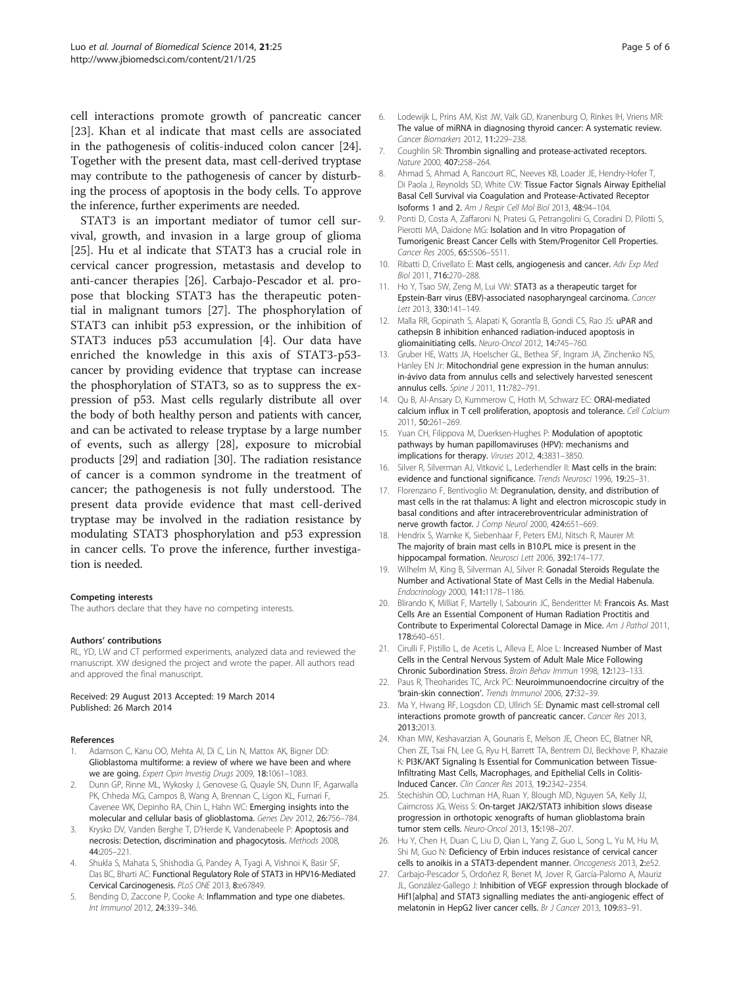<span id="page-4-0"></span>cell interactions promote growth of pancreatic cancer [23]. Khan et al indicate that mast cells are associated in the pathogenesis of colitis-induced colon cancer [24]. Together with the present data, mast cell-derived tryptase may contribute to the pathogenesis of cancer by disturbing the process of apoptosis in the body cells. To approve the inference, further experiments are needed.

STAT3 is an important mediator of tumor cell survival, growth, and invasion in a large group of glioma [25]. Hu et al indicate that STAT3 has a crucial role in cervical cancer progression, metastasis and develop to anti-cancer therapies [26]. Carbajo-Pescador et al. propose that blocking STAT3 has the therapeutic potential in malignant tumors [27]. The phosphorylation of STAT3 can inhibit p53 expression, or the inhibition of STAT3 induces p53 accumulation [4]. Our data have enriched the knowledge in this axis of STAT3-p53 cancer by providing evidence that tryptase can increase the phosphorylation of STAT3, so as to suppress the expression of p53. Mast cells regularly distribute all over the body of both healthy person and patients with cancer, and can be activated to release tryptase by a large number of events, such as allergy [[28](#page-5-0)], exposure to microbial products [\[29](#page-5-0)] and radiation [[30](#page-5-0)]. The radiation resistance of cancer is a common syndrome in the treatment of cancer; the pathogenesis is not fully understood. The present data provide evidence that mast cell-derived tryptase may be involved in the radiation resistance by modulating STAT3 phosphorylation and p53 expression in cancer cells. To prove the inference, further investigation is needed.

#### Competing interests

The authors declare that they have no competing interests.

#### Authors' contributions

RL, YD, LW and CT performed experiments, analyzed data and reviewed the manuscript. XW designed the project and wrote the paper. All authors read and approved the final manuscript.

#### Received: 29 August 2013 Accepted: 19 March 2014 Published: 26 March 2014

#### References

- 1. Adamson C, Kanu OO, Mehta AI, Di C, Lin N, Mattox AK, Bigner DD: Glioblastoma multiforme: a review of where we have been and where we are going. Expert Opin Investig Drugs 2009, 18:1061–1083.
- 2. Dunn GP, Rinne ML, Wykosky J, Genovese G, Quayle SN, Dunn IF, Agarwalla PK, Chheda MG, Campos B, Wang A, Brennan C, Ligon KL, Furnari F, Cavenee WK, Depinho RA, Chin L, Hahn WC: Emerging insights into the molecular and cellular basis of glioblastoma. Genes Dev 2012, 26:756–784.
- 3. Krysko DV, Vanden Berghe T, D'Herde K, Vandenabeele P: Apoptosis and necrosis: Detection, discrimination and phagocytosis. Methods 2008, 44:205–221.
- 4. Shukla S, Mahata S, Shishodia G, Pandey A, Tyagi A, Vishnoi K, Basir SF, Das BC, Bharti AC: Functional Regulatory Role of STAT3 in HPV16-Mediated Cervical Carcinogenesis. PLoS ONE 2013, 8:e67849.
- 5. Bending D, Zaccone P, Cooke A: Inflammation and type one diabetes. Int Immunol 2012, 24:339–346.
- 6. Lodewijk L, Prins AM, Kist JW, Valk GD, Kranenburg O, Rinkes IH, Vriens MR: The value of miRNA in diagnosing thyroid cancer: A systematic review. Cancer Biomarkers 2012, 11:229–238.
- 7. Coughlin SR: Thrombin signalling and protease-activated receptors. Nature 2000, 407:258–264.
- 8. Ahmad S, Ahmad A, Rancourt RC, Neeves KB, Loader JE, Hendry-Hofer T, Di Paola J, Reynolds SD, White CW: Tissue Factor Signals Airway Epithelial Basal Cell Survival via Coagulation and Protease-Activated Receptor Isoforms 1 and 2. Am J Respir Cell Mol Biol 2013, 48:94–104.
- 9. Ponti D, Costa A, Zaffaroni N, Pratesi G, Petrangolini G, Coradini D, Pilotti S, Pierotti MA, Daidone MG: Isolation and In vitro Propagation of Tumorigenic Breast Cancer Cells with Stem/Progenitor Cell Properties. Cancer Res 2005, 65:5506–5511.
- 10. Ribatti D, Crivellato E: Mast cells, angiogenesis and cancer. Adv Exp Med Biol 2011, 716:270–288.
- 11. Ho Y, Tsao SW, Zeng M, Lui VW: STAT3 as a therapeutic target for Epstein-Barr virus (EBV)-associated nasopharyngeal carcinoma. Cancer Lett 2013, 330:141–149.
- 12. Malla RR, Gopinath S, Alapati K, Gorantla B, Gondi CS, Rao JS: uPAR and cathepsin B inhibition enhanced radiation-induced apoptosis in gliomainitiating cells. Neuro-Oncol 2012, 14:745–760.
- 13. Gruber HE, Watts JA, Hoelscher GL, Bethea SF, Ingram JA, Zinchenko NS, Hanley EN Jr: Mitochondrial gene expression in the human annulus: in-ávivo data from annulus cells and selectively harvested senescent annulus cells. Spine J 2011, 11:782–791.
- 14. Qu B, Al-Ansary D, Kummerow C, Hoth M, Schwarz EC: ORAI-mediated calcium influx in T cell proliferation, apoptosis and tolerance. Cell Calcium 2011, 50:261–269.
- 15. Yuan CH, Filippova M, Duerksen-Hughes P: Modulation of apoptotic pathways by human papillomaviruses (HPV): mechanisms and implications for therapy. Viruses 2012, 4:3831–3850.
- 16. Silver R, Silverman AJ, Vitković L, Lederhendler II: Mast cells in the brain: evidence and functional significance. Trends Neurosci 1996, 19:25–31.
- 17. Florenzano F, Bentivoglio M: Degranulation, density, and distribution of mast cells in the rat thalamus: A light and electron microscopic study in basal conditions and after intracerebroventricular administration of nerve growth factor. J Comp Neurol 2000, 424:651-669.
- 18. Hendrix S, Warnke K, Siebenhaar F, Peters EMJ, Nitsch R, Maurer M: The majority of brain mast cells in B10.PL mice is present in the hippocampal formation. Neurosci Lett 2006, 392:174-177
- 19. Wilhelm M, King B, Silverman AJ, Silver R: Gonadal Steroids Regulate the Number and Activational State of Mast Cells in the Medial Habenula. Endocrinology 2000, 141:1178–1186.
- 20. Blirando K, Milliat F, Martelly I, Sabourin JC, Benderitter M: Francois As. Mast Cells Are an Essential Component of Human Radiation Proctitis and Contribute to Experimental Colorectal Damage in Mice. Am J Pathol 2011, 178:640–651.
- 21. Cirulli F, Pistillo L, de Acetis L, Alleva E, Aloe L: Increased Number of Mast Cells in the Central Nervous System of Adult Male Mice Following Chronic Subordination Stress. Brain Behav Immun 1998, 12:123–133.
- 22. Paus R, Theoharides TC, Arck PC: Neuroimmunoendocrine circuitry of the 'brain-skin connection'. Trends Immunol 2006, 27:32–39.
- 23. Ma Y, Hwang RF, Logsdon CD, Ullrich SE: Dynamic mast cell-stromal cell interactions promote growth of pancreatic cancer. Cancer Res 2013, 2013:2013.
- 24. Khan MW, Keshavarzian A, Gounaris E, Melson JE, Cheon EC, Blatner NR, Chen ZE, Tsai FN, Lee G, Ryu H, Barrett TA, Bentrem DJ, Beckhove P, Khazaie K: PI3K/AKT Signaling Is Essential for Communication between Tissue-Infiltrating Mast Cells, Macrophages, and Epithelial Cells in Colitis-Induced Cancer. Clin Cancer Res 2013, 19:2342–2354.
- 25. Stechishin OD, Luchman HA, Ruan Y, Blough MD, Nguyen SA, Kelly JJ, Cairncross JG, Weiss S: On-target JAK2/STAT3 inhibition slows disease progression in orthotopic xenografts of human glioblastoma brain tumor stem cells. Neuro-Oncol 2013, 15:198–207.
- 26. Hu Y, Chen H, Duan C, Liu D, Qian L, Yang Z, Guo L, Song L, Yu M, Hu M, Shi M, Guo N: Deficiency of Erbin induces resistance of cervical cancer cells to anoikis in a STAT3-dependent manner. Oncogenesis 2013, 2:e52.
- 27. Carbajo-Pescador S, Ordoñez R, Benet M, Jover R, García-Palomo A, Mauriz JL, González-Gallego J: Inhibition of VEGF expression through blockade of Hif1[alpha] and STAT3 signalling mediates the anti-angiogenic effect of melatonin in HepG2 liver cancer cells. Br J Cancer 2013, 109:83–91.